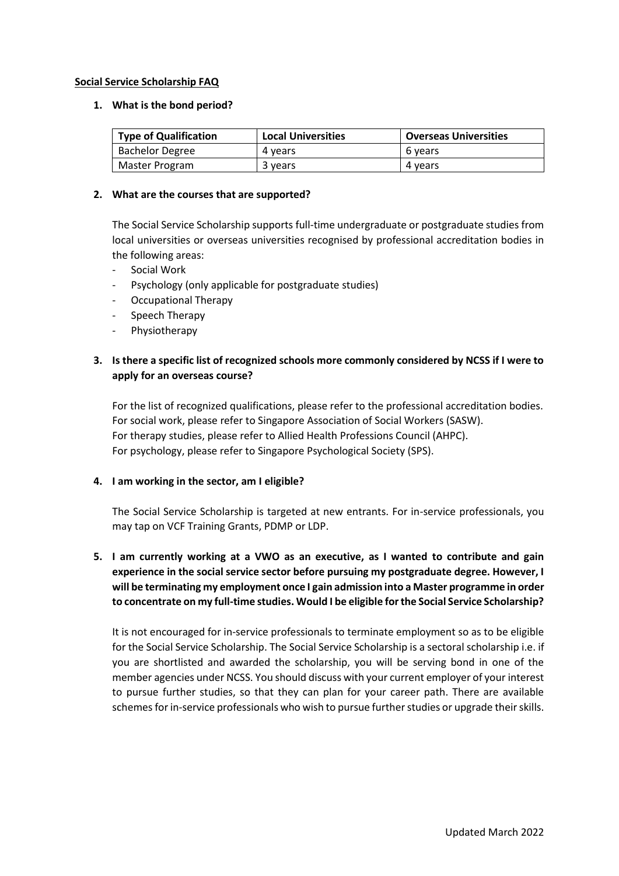#### **Social Service Scholarship FAQ**

#### **1. What is the bond period?**

| <b>Type of Qualification</b> | <b>Local Universities</b> | <b>Overseas Universities</b> |
|------------------------------|---------------------------|------------------------------|
| <b>Bachelor Degree</b>       | 4 years                   | 6 years                      |
| Master Program               | 3 years                   | 4 years                      |

#### **2. What are the courses that are supported?**

The Social Service Scholarship supports full-time undergraduate or postgraduate studies from local universities or overseas universities recognised by professional accreditation bodies in the following areas:

- Social Work
- Psychology (only applicable for postgraduate studies)
- Occupational Therapy
- Speech Therapy
- Physiotherapy

## **3. Is there a specific list of recognized schools more commonly considered by NCSS if I were to apply for an overseas course?**

For the list of recognized qualifications, please refer to the professional accreditation bodies. For social work, please refer to Singapore Association of Social Workers (SASW). For therapy studies, please refer to Allied Health Professions Council (AHPC). For psychology, please refer to Singapore Psychological Society (SPS).

### **4. I am working in the sector, am I eligible?**

The Social Service Scholarship is targeted at new entrants. For in-service professionals, you may tap on VCF Training Grants, PDMP or LDP.

# **5. I am currently working at a VWO as an executive, as I wanted to contribute and gain experience in the social service sector before pursuing my postgraduate degree. However, I will be terminating my employment once I gain admission into a Master programme in order to concentrate on my full-time studies. Would I be eligible for the Social Service Scholarship?**

It is not encouraged for in-service professionals to terminate employment so as to be eligible for the Social Service Scholarship. The Social Service Scholarship is a sectoral scholarship i.e. if you are shortlisted and awarded the scholarship, you will be serving bond in one of the member agencies under NCSS. You should discuss with your current employer of your interest to pursue further studies, so that they can plan for your career path. There are available schemes for in-service professionals who wish to pursue further studies or upgrade their skills.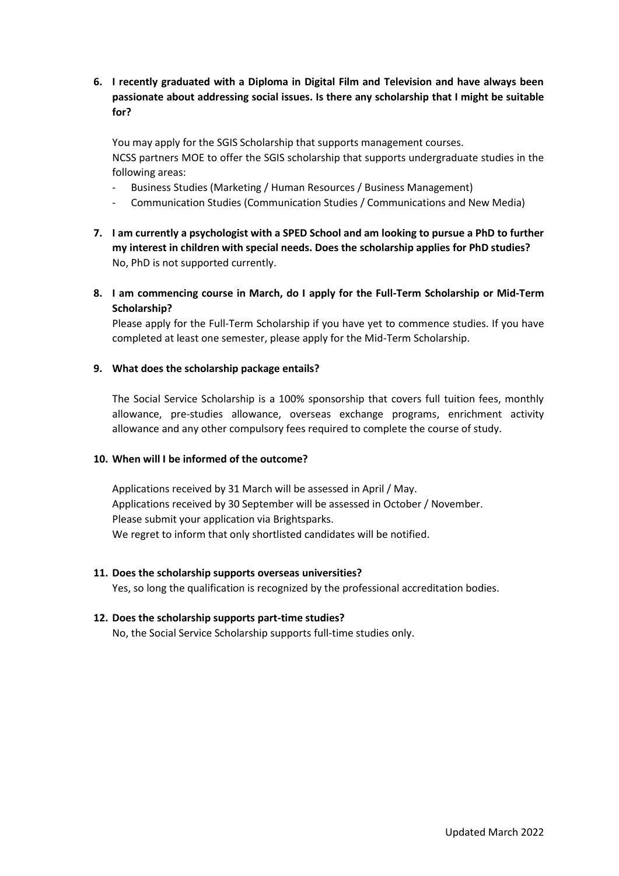**6. I recently graduated with a Diploma in Digital Film and Television and have always been passionate about addressing social issues. Is there any scholarship that I might be suitable for?**

You may apply for the SGIS Scholarship that supports management courses. NCSS partners MOE to offer the SGIS scholarship that supports undergraduate studies in the following areas:

- Business Studies (Marketing / Human Resources / Business Management)
- Communication Studies (Communication Studies / Communications and New Media)
- **7. I am currently a psychologist with a SPED School and am looking to pursue a PhD to further my interest in children with special needs. Does the scholarship applies for PhD studies?** No, PhD is not supported currently.
- **8. I am commencing course in March, do I apply for the Full-Term Scholarship or Mid-Term Scholarship?**

Please apply for the Full-Term Scholarship if you have yet to commence studies. If you have completed at least one semester, please apply for the Mid-Term Scholarship.

### **9. What does the scholarship package entails?**

The Social Service Scholarship is a 100% sponsorship that covers full tuition fees, monthly allowance, pre-studies allowance, overseas exchange programs, enrichment activity allowance and any other compulsory fees required to complete the course of study.

### **10. When will I be informed of the outcome?**

Applications received by 31 March will be assessed in April / May. Applications received by 30 September will be assessed in October / November. Please submit your application via Brightsparks. We regret to inform that only shortlisted candidates will be notified.

### **11. Does the scholarship supports overseas universities?**

Yes, so long the qualification is recognized by the professional accreditation bodies.

### **12. Does the scholarship supports part-time studies?**

No, the Social Service Scholarship supports full-time studies only.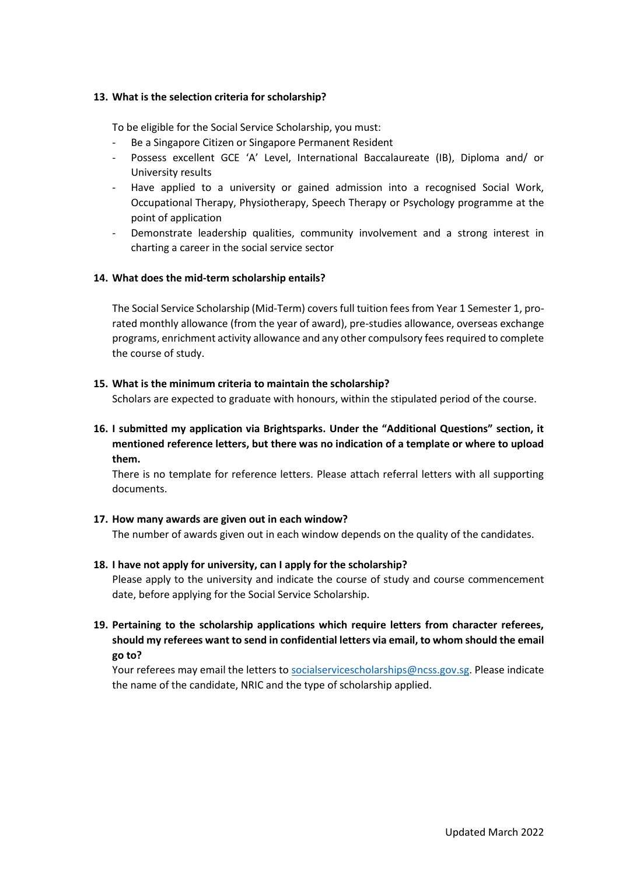### **13. What is the selection criteria for scholarship?**

To be eligible for the Social Service Scholarship, you must:

- Be a Singapore Citizen or Singapore Permanent Resident
- Possess excellent GCE 'A' Level, International Baccalaureate (IB), Diploma and/ or University results
- Have applied to a university or gained admission into a recognised Social Work, Occupational Therapy, Physiotherapy, Speech Therapy or Psychology programme at the point of application
- Demonstrate leadership qualities, community involvement and a strong interest in charting a career in the social service sector

### **14. What does the mid-term scholarship entails?**

The Social Service Scholarship (Mid-Term) covers full tuition fees from Year 1 Semester 1, prorated monthly allowance (from the year of award), pre-studies allowance, overseas exchange programs, enrichment activity allowance and any other compulsory fees required to complete the course of study.

### **15. What is the minimum criteria to maintain the scholarship?**

Scholars are expected to graduate with honours, within the stipulated period of the course.

**16. I submitted my application via Brightsparks. Under the "Additional Questions" section, it mentioned reference letters, but there was no indication of a template or where to upload them.** 

There is no template for reference letters. Please attach referral letters with all supporting documents.

## **17. How many awards are given out in each window?**

The number of awards given out in each window depends on the quality of the candidates.

- **18. I have not apply for university, can I apply for the scholarship?** Please apply to the university and indicate the course of study and course commencement date, before applying for the Social Service Scholarship.
- **19. Pertaining to the scholarship applications which require letters from character referees, should my referees want to send in confidential letters via email, to whom should the email go to?**

Your referees may email the letters to [socialservicescholarships@ncss.gov.sg.](mailto:socialservicescholarships@ncss.gov.sg) Please indicate the name of the candidate, NRIC and the type of scholarship applied.